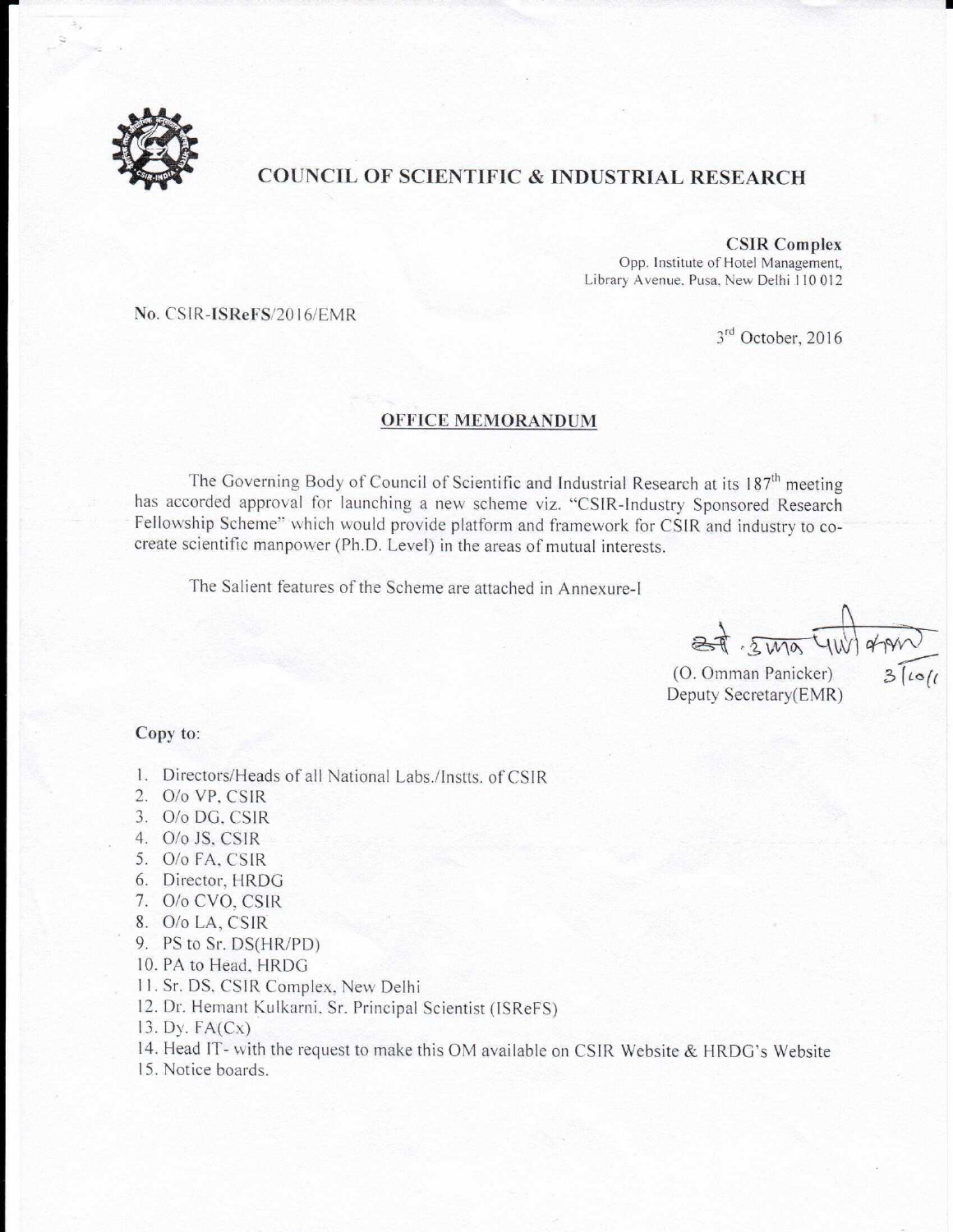

## COUNCIL OF SCIENTIFIC & INDUSTRIAL RESEARCH

#### CSIR Complex

Opp. Institute of Hotel Management, Library Avenue, Pusa. New Delhi 110 012

No. CSIR-ISReFS/2016/EMR

3<sup>rd</sup> October, 2016

#### OFFICE MEMORANDUM

The Governing Body of Council of Scientific and Industrial Research at its 187<sup>th</sup> meeting<br>has accorded approval for launching a new scheme viz. "CSIR-Industry Sponsored Research<br>Fellowship Scheme" which would provide plat create scientific manpower (Ph.D. Level) in the areas of mutual interests.

The Salient features of the Scheme are attached in Annexure-I

 $2\pi \cdot 2\pi\sigma$  TW

(O. Omman Panicker) Deputy Secretary(EMR)

#### Copy to:

1. Directors/Heads of all National Labs./Instts. of CSIR

- O/o VP, CSIR
- 3. O/o DG, CSIR
- O/o JS, CSIR
- O/o FA, CSIR
- 6. Director, HRDG 1. 2. 3. 4. 5. 6. 7. 8. 9. 10 11 12
- O/o CVO, CSIR
- O/o LA, CSIR
- PS to Sr. DS(HR/PD)
- 10. PA to Head, HRDG
- . Sr. DS. CSIR Complex. New Delhi
- . Dr. Hemant Kulkarni. Sr. Principal Scientist (ISReFS)
- 13. Dy.  $FA(Cx)$
- . Head IT- with the request to make this OM available on CSIR Website  $&HRDG's$  Website  $\begin{array}{c} 3 \\ 4 \\ 5 \end{array}$
- . Notice boards.

e program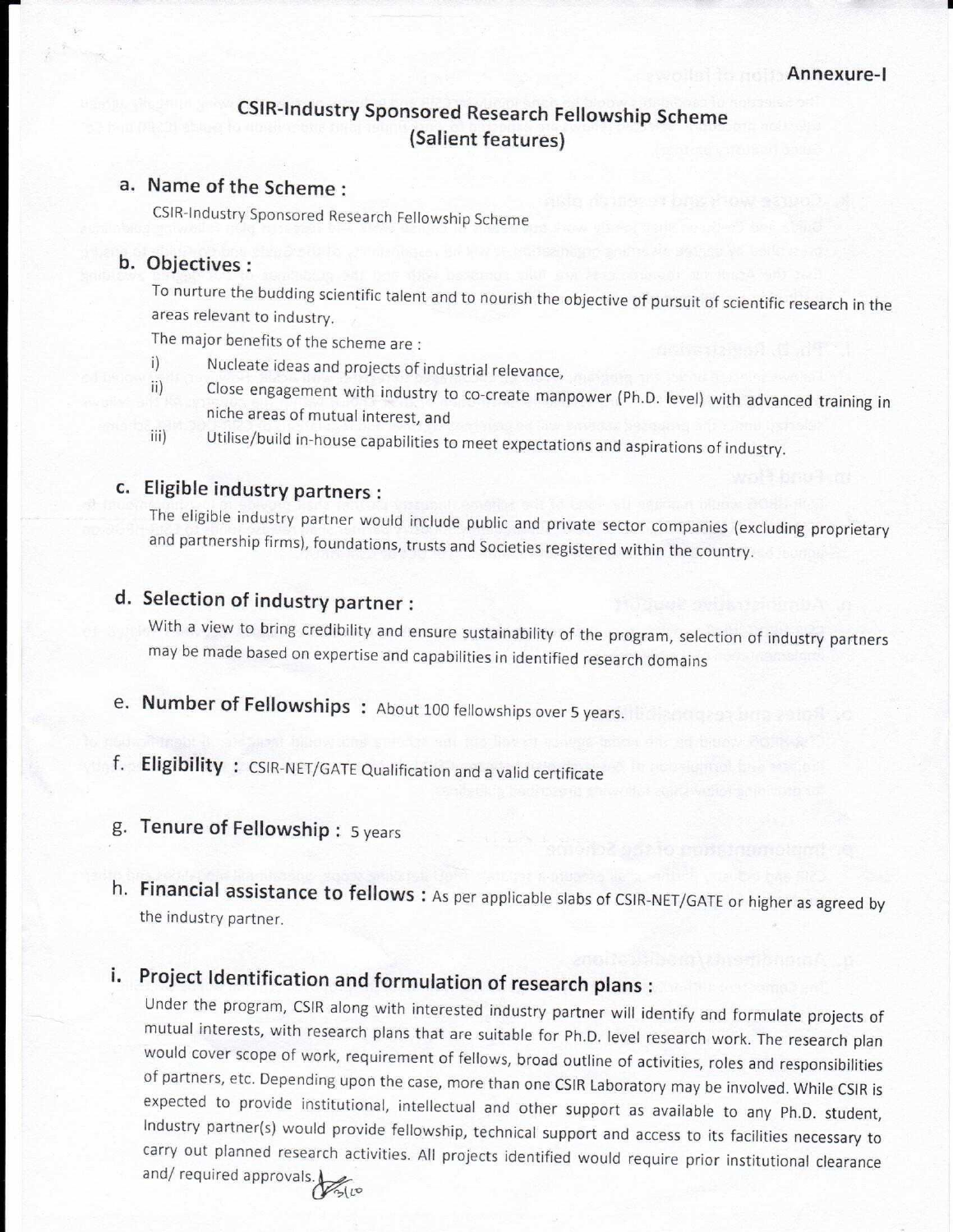# CSIR-Industry Sponsored Research Fellowship Scheme (Salient features)

# a. Name of the Scheme

CSIR-Industry Sponsored Research Fellowship Scheme

### b. Objectives :

To nurture the budding scientific talent and to nourish the objective of pursuit of scientific research in the areas relevant to industry.

The major benefits of the scheme are:

- i) Nucleate ideas and projects of industrial relevance,
- ii) Close engagement with industry to co-create manpower (Ph.D. level) with advanced training in niche areas of mutual interest, and
- iii) Utilise/build in-house capabilities to meet expectations and aspirations of industry.

## Eligible industry partners :

The eligible industry partner would include public and private sector companies (excluding proprietary and partnership firms), foundations, trusts and Societies registered within the country.

# d. Selection of industry partner :

With a view to bring credibility and ensure sustainability of the program, selection of industry partners may be made based on expertise and capabilities in identified research domains

- e. Number of Fellowships: About 100 fellowships over 5 years.
- f. Eligibility: CSIR-NET/GATE Qualification and a valid certificate
- Tenure of Fellowship : 5 years

( - ) - ( - -), - 4)

Financial assistance to fellows : As per applicable slabs of CSIR-NET/GATE or higher as agreed by the industry partner.

## i.

Project Identification and formulation of research plans :<br>Under the program, CSIR along with interested industry partner will identify and formulate projects of mutual interests, with research plans that are suitable for Ph.D. level research work. The research plan would cover scope of work, requirement of fellows, broad outline of activities, roles and responsibilities of partner